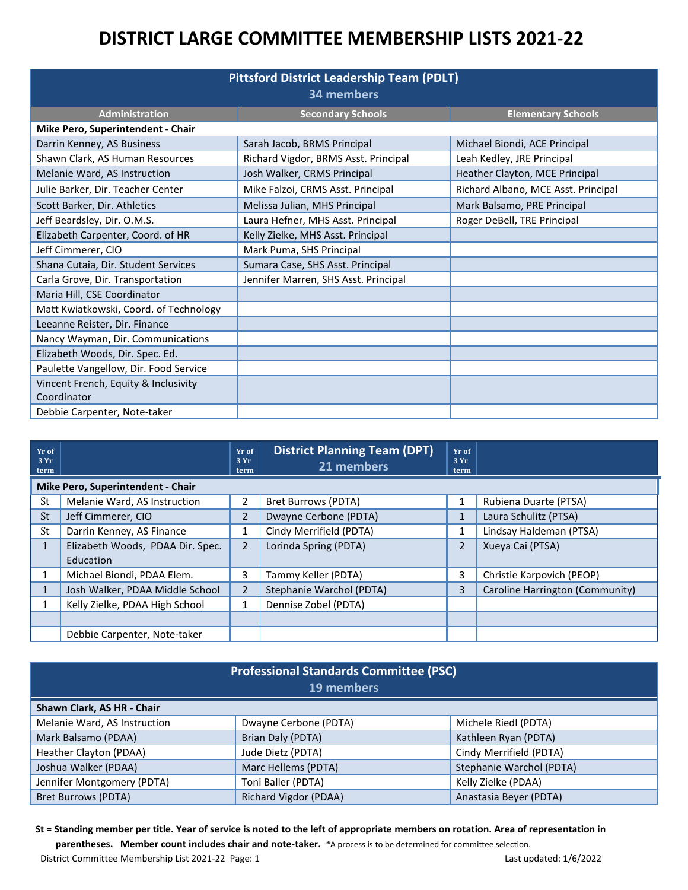| <b>Pittsford District Leadership Team (PDLT)</b><br>34 members |                                      |                                     |  |  |  |  |
|----------------------------------------------------------------|--------------------------------------|-------------------------------------|--|--|--|--|
| <b>Administration</b>                                          | <b>Secondary Schools</b>             | <b>Elementary Schools</b>           |  |  |  |  |
| Mike Pero, Superintendent - Chair                              |                                      |                                     |  |  |  |  |
| Darrin Kenney, AS Business                                     | Sarah Jacob, BRMS Principal          | Michael Biondi, ACE Principal       |  |  |  |  |
| Shawn Clark, AS Human Resources                                | Richard Vigdor, BRMS Asst. Principal | Leah Kedley, JRE Principal          |  |  |  |  |
| Melanie Ward, AS Instruction                                   | Josh Walker, CRMS Principal          | Heather Clayton, MCE Principal      |  |  |  |  |
| Julie Barker, Dir. Teacher Center                              | Mike Falzoi, CRMS Asst. Principal    | Richard Albano, MCE Asst. Principal |  |  |  |  |
| Scott Barker, Dir. Athletics                                   | Melissa Julian, MHS Principal        | Mark Balsamo, PRE Principal         |  |  |  |  |
| Jeff Beardsley, Dir. O.M.S.                                    | Laura Hefner, MHS Asst. Principal    | Roger DeBell, TRE Principal         |  |  |  |  |
| Elizabeth Carpenter, Coord. of HR                              | Kelly Zielke, MHS Asst. Principal    |                                     |  |  |  |  |
| Jeff Cimmerer, CIO                                             | Mark Puma, SHS Principal             |                                     |  |  |  |  |
| Shana Cutaia, Dir. Student Services                            | Sumara Case, SHS Asst. Principal     |                                     |  |  |  |  |
| Carla Grove, Dir. Transportation                               | Jennifer Marren, SHS Asst. Principal |                                     |  |  |  |  |
| Maria Hill, CSE Coordinator                                    |                                      |                                     |  |  |  |  |
| Matt Kwiatkowski, Coord. of Technology                         |                                      |                                     |  |  |  |  |
| Leeanne Reister, Dir. Finance                                  |                                      |                                     |  |  |  |  |
| Nancy Wayman, Dir. Communications                              |                                      |                                     |  |  |  |  |
| Elizabeth Woods, Dir. Spec. Ed.                                |                                      |                                     |  |  |  |  |
| Paulette Vangellow, Dir. Food Service                          |                                      |                                     |  |  |  |  |
| Vincent French, Equity & Inclusivity                           |                                      |                                     |  |  |  |  |
| Coordinator                                                    |                                      |                                     |  |  |  |  |
| Debbie Carpenter, Note-taker                                   |                                      |                                     |  |  |  |  |

| Yr of<br>3Yr<br>term |                                               | Yr of<br>3Yr<br>term | <b>District Planning Team (DPT)</b><br>21 members | Yr of<br>3Yr<br>term |                                 |
|----------------------|-----------------------------------------------|----------------------|---------------------------------------------------|----------------------|---------------------------------|
|                      | Mike Pero, Superintendent - Chair             |                      |                                                   |                      |                                 |
| St                   | Melanie Ward, AS Instruction                  |                      | <b>Bret Burrows (PDTA)</b>                        |                      | Rubiena Duarte (PTSA)           |
| <b>St</b>            | Jeff Cimmerer, CIO                            | 2                    | Dwayne Cerbone (PDTA)                             |                      | Laura Schulitz (PTSA)           |
| St                   | Darrin Kenney, AS Finance                     |                      | Cindy Merrifield (PDTA)                           |                      | Lindsay Haldeman (PTSA)         |
| $\mathbf{1}$         | Elizabeth Woods, PDAA Dir. Spec.<br>Education | 2                    | Lorinda Spring (PDTA)                             | 2                    | Xueya Cai (PTSA)                |
| $\mathbf{1}$         | Michael Biondi, PDAA Elem.                    | 3                    | Tammy Keller (PDTA)                               | 3                    | Christie Karpovich (PEOP)       |
|                      | Josh Walker, PDAA Middle School               | 2                    | Stephanie Warchol (PDTA)                          | 3                    | Caroline Harrington (Community) |
| $\mathbf{I}$         | Kelly Zielke, PDAA High School                | 1                    | Dennise Zobel (PDTA)                              |                      |                                 |
|                      |                                               |                      |                                                   |                      |                                 |
|                      | Debbie Carpenter, Note-taker                  |                      |                                                   |                      |                                 |

| <b>Professional Standards Committee (PSC)</b><br>19 members |                       |                          |  |  |
|-------------------------------------------------------------|-----------------------|--------------------------|--|--|
| Shawn Clark, AS HR - Chair                                  |                       |                          |  |  |
| Melanie Ward, AS Instruction                                | Dwayne Cerbone (PDTA) | Michele Riedl (PDTA)     |  |  |
| Mark Balsamo (PDAA)                                         | Brian Daly (PDTA)     | Kathleen Ryan (PDTA)     |  |  |
| Heather Clayton (PDAA)                                      | Jude Dietz (PDTA)     | Cindy Merrifield (PDTA)  |  |  |
| Joshua Walker (PDAA)                                        | Marc Hellems (PDTA)   | Stephanie Warchol (PDTA) |  |  |
| Jennifer Montgomery (PDTA)                                  | Toni Baller (PDTA)    | Kelly Zielke (PDAA)      |  |  |
| Bret Burrows (PDTA)                                         | Richard Vigdor (PDAA) | Anastasia Beyer (PDTA)   |  |  |

**St = Standing member per title. Year of service is noted to the left of appropriate members on rotation. Area of representation in** 

**parentheses. Member count includes chair and note-taker.** \*A process is to be determined for committee selection.

District Committee Membership List 2021-22 Page: 1 Last updated: 1/6/2022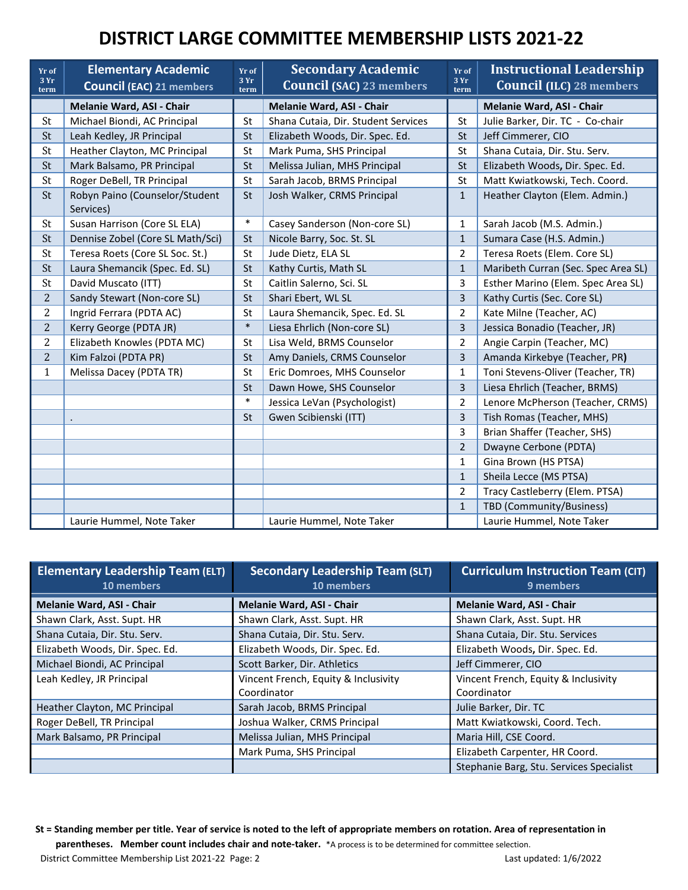| Yr of<br>3Yr<br>term | <b>Elementary Academic</b><br><b>Council (EAC) 21 members</b> | Yr of<br>3Yr<br>term | <b>Secondary Academic</b><br><b>Council (SAC) 23 members</b> | Yr of<br>3Yr<br>term | <b>Instructional Leadership</b><br><b>Council (ILC) 28 members</b> |
|----------------------|---------------------------------------------------------------|----------------------|--------------------------------------------------------------|----------------------|--------------------------------------------------------------------|
|                      | Melanie Ward, ASI - Chair                                     |                      | Melanie Ward, ASI - Chair                                    |                      | Melanie Ward, ASI - Chair                                          |
| St                   | Michael Biondi, AC Principal                                  | St                   | Shana Cutaia, Dir. Student Services                          | St                   | Julie Barker, Dir. TC - Co-chair                                   |
| St                   | Leah Kedley, JR Principal                                     | St                   | Elizabeth Woods, Dir. Spec. Ed.                              | St                   | Jeff Cimmerer, CIO                                                 |
| St                   | Heather Clayton, MC Principal                                 | St                   | Mark Puma, SHS Principal                                     | St                   | Shana Cutaia, Dir. Stu. Serv.                                      |
| St                   | Mark Balsamo, PR Principal                                    | St                   | Melissa Julian, MHS Principal                                | <b>St</b>            | Elizabeth Woods, Dir. Spec. Ed.                                    |
| St                   | Roger DeBell, TR Principal                                    | St                   | Sarah Jacob, BRMS Principal                                  | St                   | Matt Kwiatkowski, Tech. Coord.                                     |
| St                   | Robyn Paino (Counselor/Student<br>Services)                   | St                   | Josh Walker, CRMS Principal                                  | $\mathbf{1}$         | Heather Clayton (Elem. Admin.)                                     |
| St                   | Susan Harrison (Core SL ELA)                                  | $\ast$               | Casey Sanderson (Non-core SL)                                | 1                    | Sarah Jacob (M.S. Admin.)                                          |
| St                   | Dennise Zobel (Core SL Math/Sci)                              | St                   | Nicole Barry, Soc. St. SL                                    | $\mathbf{1}$         | Sumara Case (H.S. Admin.)                                          |
| St                   | Teresa Roets (Core SL Soc. St.)                               | St                   | Jude Dietz, ELA SL                                           | $\overline{2}$       | Teresa Roets (Elem. Core SL)                                       |
| St                   | Laura Shemancik (Spec. Ed. SL)                                | <b>St</b>            | Kathy Curtis, Math SL                                        | $\mathbf{1}$         | Maribeth Curran (Sec. Spec Area SL)                                |
| St                   | David Muscato (ITT)                                           | St                   | Caitlin Salerno, Sci. SL                                     | 3                    | Esther Marino (Elem. Spec Area SL)                                 |
| $\overline{2}$       | Sandy Stewart (Non-core SL)                                   | St                   | Shari Ebert, WL SL                                           | 3                    | Kathy Curtis (Sec. Core SL)                                        |
| $\overline{2}$       | Ingrid Ferrara (PDTA AC)                                      | St                   | Laura Shemancik, Spec. Ed. SL                                | 2                    | Kate Milne (Teacher, AC)                                           |
| $\overline{2}$       | Kerry George (PDTA JR)                                        | $\ast$               | Liesa Ehrlich (Non-core SL)                                  | 3                    | Jessica Bonadio (Teacher, JR)                                      |
| $\overline{2}$       | Elizabeth Knowles (PDTA MC)                                   | St                   | Lisa Weld, BRMS Counselor                                    | $\overline{2}$       | Angie Carpin (Teacher, MC)                                         |
| $\overline{2}$       | Kim Falzoi (PDTA PR)                                          | <b>St</b>            | Amy Daniels, CRMS Counselor                                  | 3                    | Amanda Kirkebye (Teacher, PR)                                      |
| $\mathbf{1}$         | Melissa Dacey (PDTA TR)                                       | St                   | Eric Domroes, MHS Counselor                                  | 1                    | Toni Stevens-Oliver (Teacher, TR)                                  |
|                      |                                                               | <b>St</b>            | Dawn Howe, SHS Counselor                                     | 3                    | Liesa Ehrlich (Teacher, BRMS)                                      |
|                      |                                                               | $\ast$               | Jessica LeVan (Psychologist)                                 | $\overline{2}$       | Lenore McPherson (Teacher, CRMS)                                   |
|                      |                                                               | St                   | Gwen Scibienski (ITT)                                        | 3                    | Tish Romas (Teacher, MHS)                                          |
|                      |                                                               |                      |                                                              | 3                    | Brian Shaffer (Teacher, SHS)                                       |
|                      |                                                               |                      |                                                              | $\overline{2}$       | Dwayne Cerbone (PDTA)                                              |
|                      |                                                               |                      |                                                              | $\mathbf{1}$         | Gina Brown (HS PTSA)                                               |
|                      |                                                               |                      |                                                              | $\mathbf{1}$         | Sheila Lecce (MS PTSA)                                             |
|                      |                                                               |                      |                                                              | 2                    | Tracy Castleberry (Elem. PTSA)                                     |
|                      |                                                               |                      |                                                              | $\mathbf{1}$         | TBD (Community/Business)                                           |
|                      | Laurie Hummel, Note Taker                                     |                      | Laurie Hummel, Note Taker                                    |                      | Laurie Hummel, Note Taker                                          |

| <b>Elementary Leadership Team (ELT)</b><br>10 members | <b>Secondary Leadership Team (SLT)</b><br>10 members | <b>Curriculum Instruction Team (CIT)</b><br>9 members |
|-------------------------------------------------------|------------------------------------------------------|-------------------------------------------------------|
| <b>Melanie Ward, ASI - Chair</b>                      | Melanie Ward, ASI - Chair                            | <b>Melanie Ward, ASI - Chair</b>                      |
| Shawn Clark, Asst. Supt. HR                           | Shawn Clark, Asst. Supt. HR                          | Shawn Clark, Asst. Supt. HR                           |
| Shana Cutaia, Dir. Stu. Serv.                         | Shana Cutaia, Dir. Stu. Serv.                        | Shana Cutaia, Dir. Stu. Services                      |
| Elizabeth Woods, Dir. Spec. Ed.                       | Elizabeth Woods, Dir. Spec. Ed.                      | Elizabeth Woods, Dir. Spec. Ed.                       |
| Michael Biondi, AC Principal                          | Scott Barker, Dir. Athletics                         | Jeff Cimmerer, CIO                                    |
| Leah Kedley, JR Principal                             | Vincent French, Equity & Inclusivity                 | Vincent French, Equity & Inclusivity                  |
|                                                       | Coordinator                                          | Coordinator                                           |
| Heather Clayton, MC Principal                         | Sarah Jacob, BRMS Principal                          | Julie Barker, Dir. TC                                 |
| Roger DeBell, TR Principal                            | Joshua Walker, CRMS Principal                        | Matt Kwiatkowski, Coord. Tech.                        |
| Mark Balsamo, PR Principal                            | Melissa Julian, MHS Principal                        | Maria Hill, CSE Coord.                                |
|                                                       | Mark Puma, SHS Principal                             | Elizabeth Carpenter, HR Coord.                        |
|                                                       |                                                      | Stephanie Barg, Stu. Services Specialist              |

**St = Standing member per title. Year of service is noted to the left of appropriate members on rotation. Area of representation in parentheses. Member count includes chair and note-taker.** \*A process is to be determined for committee selection. District Committee Membership List 2021-22 Page: 2 Last updated: 1/6/2022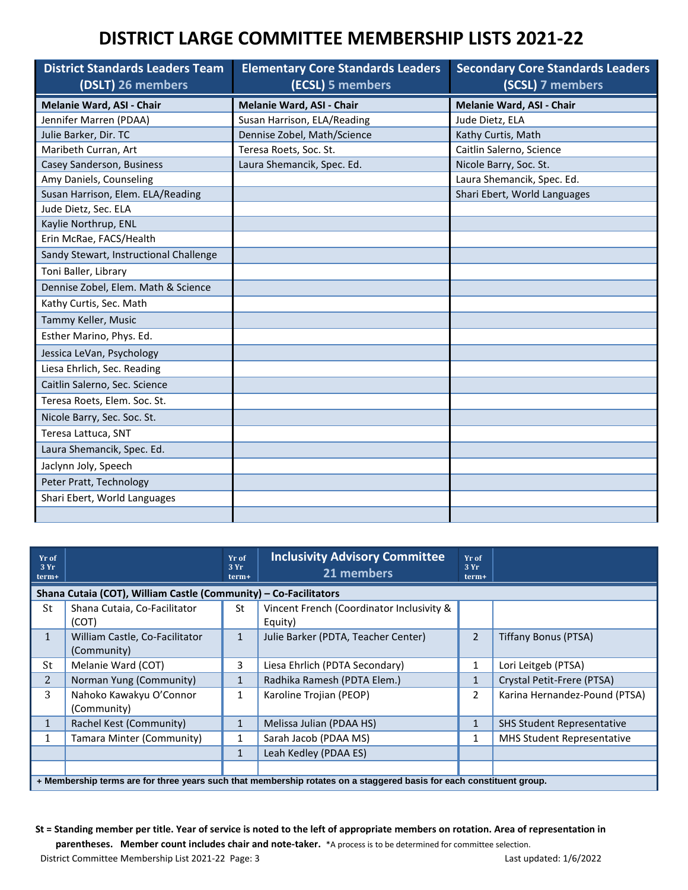| <b>District Standards Leaders Team</b><br>(DSLT) 26 members | <b>Elementary Core Standards Leaders</b><br>(ECSL) 5 members | <b>Secondary Core Standards Leaders</b><br>(SCSL) 7 members |
|-------------------------------------------------------------|--------------------------------------------------------------|-------------------------------------------------------------|
| Melanie Ward, ASI - Chair                                   | Melanie Ward, ASI - Chair                                    | Melanie Ward, ASI - Chair                                   |
| Jennifer Marren (PDAA)                                      | Susan Harrison, ELA/Reading                                  | Jude Dietz, ELA                                             |
| Julie Barker, Dir. TC                                       | Dennise Zobel, Math/Science                                  | Kathy Curtis, Math                                          |
| Maribeth Curran, Art                                        | Teresa Roets, Soc. St.                                       | Caitlin Salerno, Science                                    |
| Casey Sanderson, Business                                   | Laura Shemancik, Spec. Ed.                                   | Nicole Barry, Soc. St.                                      |
| Amy Daniels, Counseling                                     |                                                              | Laura Shemancik, Spec. Ed.                                  |
| Susan Harrison, Elem. ELA/Reading                           |                                                              | Shari Ebert, World Languages                                |
| Jude Dietz, Sec. ELA                                        |                                                              |                                                             |
| Kaylie Northrup, ENL                                        |                                                              |                                                             |
| Erin McRae, FACS/Health                                     |                                                              |                                                             |
| Sandy Stewart, Instructional Challenge                      |                                                              |                                                             |
| Toni Baller, Library                                        |                                                              |                                                             |
| Dennise Zobel, Elem. Math & Science                         |                                                              |                                                             |
| Kathy Curtis, Sec. Math                                     |                                                              |                                                             |
| Tammy Keller, Music                                         |                                                              |                                                             |
| Esther Marino, Phys. Ed.                                    |                                                              |                                                             |
| Jessica LeVan, Psychology                                   |                                                              |                                                             |
| Liesa Ehrlich, Sec. Reading                                 |                                                              |                                                             |
| Caitlin Salerno, Sec. Science                               |                                                              |                                                             |
| Teresa Roets, Elem. Soc. St.                                |                                                              |                                                             |
| Nicole Barry, Sec. Soc. St.                                 |                                                              |                                                             |
| Teresa Lattuca, SNT                                         |                                                              |                                                             |
| Laura Shemancik, Spec. Ed.                                  |                                                              |                                                             |
| Jaclynn Joly, Speech                                        |                                                              |                                                             |
| Peter Pratt, Technology                                     |                                                              |                                                             |
| Shari Ebert, World Languages                                |                                                              |                                                             |
|                                                             |                                                              |                                                             |

| Yr of<br>3Yr<br>term+ |                                                                                                                      | Yr of<br>3Yr<br>term+ | <b>Inclusivity Advisory Committee</b><br>21 members  | Yr of<br>3Yr<br>term+ |                                   |
|-----------------------|----------------------------------------------------------------------------------------------------------------------|-----------------------|------------------------------------------------------|-----------------------|-----------------------------------|
|                       | Shana Cutaia (COT), William Castle (Community) - Co-Facilitators                                                     |                       |                                                      |                       |                                   |
| St                    | Shana Cutaia, Co-Facilitator<br>(COT)                                                                                | St                    | Vincent French (Coordinator Inclusivity &<br>Equity) |                       |                                   |
| $\mathbf{1}$          | William Castle, Co-Facilitator<br>(Community)                                                                        | $\mathbf{1}$          | Julie Barker (PDTA, Teacher Center)                  | $\overline{2}$        | <b>Tiffany Bonus (PTSA)</b>       |
| St                    | Melanie Ward (COT)                                                                                                   | 3                     | Liesa Ehrlich (PDTA Secondary)                       |                       | Lori Leitgeb (PTSA)               |
| $\overline{2}$        | Norman Yung (Community)                                                                                              | 1                     | Radhika Ramesh (PDTA Elem.)                          | 1                     | Crystal Petit-Frere (PTSA)        |
| 3                     | Nahoko Kawakyu O'Connor<br>(Community)                                                                               | 1                     | Karoline Trojian (PEOP)                              | 2                     | Karina Hernandez-Pound (PTSA)     |
|                       | Rachel Kest (Community)                                                                                              | 1                     | Melissa Julian (PDAA HS)                             |                       | <b>SHS Student Representative</b> |
|                       | Tamara Minter (Community)                                                                                            | 1                     | Sarah Jacob (PDAA MS)                                | $\mathbf{1}$          | <b>MHS Student Representative</b> |
|                       |                                                                                                                      | 1                     | Leah Kedley (PDAA ES)                                |                       |                                   |
|                       |                                                                                                                      |                       |                                                      |                       |                                   |
|                       | + Membership terms are for three years such that membership rotates on a staggered basis for each constituent group. |                       |                                                      |                       |                                   |

**St = Standing member per title. Year of service is noted to the left of appropriate members on rotation. Area of representation in parentheses. Member count includes chair and note-taker.** \*A process is to be determined for committee selection.

District Committee Membership List 2021-22 Page: 3 Last updated: 1/6/2022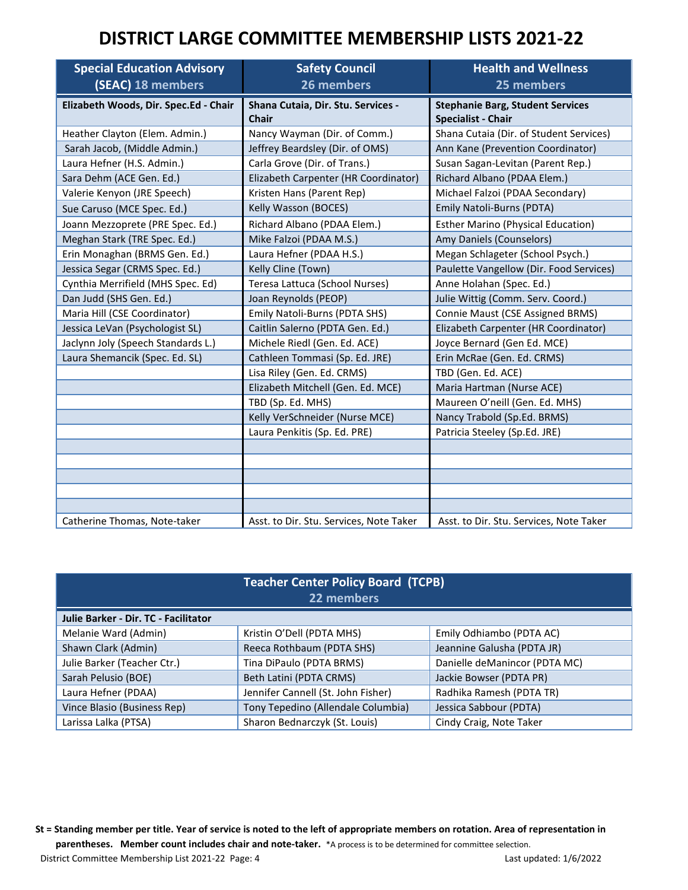| <b>Special Education Advisory</b><br>(SEAC) 18 members | <b>Safety Council</b><br>26 members                | <b>Health and Wellness</b><br>25 members                             |
|--------------------------------------------------------|----------------------------------------------------|----------------------------------------------------------------------|
| Elizabeth Woods, Dir. Spec.Ed - Chair                  | Shana Cutaia, Dir. Stu. Services -<br><b>Chair</b> | <b>Stephanie Barg, Student Services</b><br><b>Specialist - Chair</b> |
| Heather Clayton (Elem. Admin.)                         | Nancy Wayman (Dir. of Comm.)                       | Shana Cutaia (Dir. of Student Services)                              |
| Sarah Jacob, (Middle Admin.)                           | Jeffrey Beardsley (Dir. of OMS)                    | Ann Kane (Prevention Coordinator)                                    |
| Laura Hefner (H.S. Admin.)                             | Carla Grove (Dir. of Trans.)                       | Susan Sagan-Levitan (Parent Rep.)                                    |
| Sara Dehm (ACE Gen. Ed.)                               | Elizabeth Carpenter (HR Coordinator)               | Richard Albano (PDAA Elem.)                                          |
| Valerie Kenyon (JRE Speech)                            | Kristen Hans (Parent Rep)                          | Michael Falzoi (PDAA Secondary)                                      |
| Sue Caruso (MCE Spec. Ed.)                             | Kelly Wasson (BOCES)                               | Emily Natoli-Burns (PDTA)                                            |
| Joann Mezzoprete (PRE Spec. Ed.)                       | Richard Albano (PDAA Elem.)                        | <b>Esther Marino (Physical Education)</b>                            |
| Meghan Stark (TRE Spec. Ed.)                           | Mike Falzoi (PDAA M.S.)                            | Amy Daniels (Counselors)                                             |
| Erin Monaghan (BRMS Gen. Ed.)                          | Laura Hefner (PDAA H.S.)                           | Megan Schlageter (School Psych.)                                     |
| Jessica Segar (CRMS Spec. Ed.)                         | Kelly Cline (Town)                                 | Paulette Vangellow (Dir. Food Services)                              |
| Cynthia Merrifield (MHS Spec. Ed)                      | Teresa Lattuca (School Nurses)                     | Anne Holahan (Spec. Ed.)                                             |
| Dan Judd (SHS Gen. Ed.)                                | Joan Reynolds (PEOP)                               | Julie Wittig (Comm. Serv. Coord.)                                    |
| Maria Hill (CSE Coordinator)                           | Emily Natoli-Burns (PDTA SHS)                      | Connie Maust (CSE Assigned BRMS)                                     |
| Jessica LeVan (Psychologist SL)                        | Caitlin Salerno (PDTA Gen. Ed.)                    | Elizabeth Carpenter (HR Coordinator)                                 |
| Jaclynn Joly (Speech Standards L.)                     | Michele Riedl (Gen. Ed. ACE)                       | Joyce Bernard (Gen Ed. MCE)                                          |
| Laura Shemancik (Spec. Ed. SL)                         | Cathleen Tommasi (Sp. Ed. JRE)                     | Erin McRae (Gen. Ed. CRMS)                                           |
|                                                        | Lisa Riley (Gen. Ed. CRMS)                         | TBD (Gen. Ed. ACE)                                                   |
|                                                        | Elizabeth Mitchell (Gen. Ed. MCE)                  | Maria Hartman (Nurse ACE)                                            |
|                                                        | TBD (Sp. Ed. MHS)                                  | Maureen O'neill (Gen. Ed. MHS)                                       |
|                                                        | Kelly VerSchneider (Nurse MCE)                     | Nancy Trabold (Sp.Ed. BRMS)                                          |
|                                                        | Laura Penkitis (Sp. Ed. PRE)                       | Patricia Steeley (Sp.Ed. JRE)                                        |
|                                                        |                                                    |                                                                      |
|                                                        |                                                    |                                                                      |
|                                                        |                                                    |                                                                      |
|                                                        |                                                    |                                                                      |
|                                                        |                                                    |                                                                      |
| Catherine Thomas, Note-taker                           | Asst. to Dir. Stu. Services, Note Taker            | Asst. to Dir. Stu. Services, Note Taker                              |

| <b>Teacher Center Policy Board (TCPB)</b><br>22 members |                                    |                               |  |  |  |
|---------------------------------------------------------|------------------------------------|-------------------------------|--|--|--|
| Julie Barker - Dir. TC - Facilitator                    |                                    |                               |  |  |  |
| Melanie Ward (Admin)                                    | Kristin O'Dell (PDTA MHS)          | Emily Odhiambo (PDTA AC)      |  |  |  |
| Shawn Clark (Admin)                                     | Reeca Rothbaum (PDTA SHS)          | Jeannine Galusha (PDTA JR)    |  |  |  |
| Julie Barker (Teacher Ctr.)                             | Tina DiPaulo (PDTA BRMS)           | Danielle deManincor (PDTA MC) |  |  |  |
| Sarah Pelusio (BOE)                                     | Beth Latini (PDTA CRMS)            | Jackie Bowser (PDTA PR)       |  |  |  |
| Laura Hefner (PDAA)                                     | Jennifer Cannell (St. John Fisher) | Radhika Ramesh (PDTA TR)      |  |  |  |
| Vince Blasio (Business Rep)                             | Tony Tepedino (Allendale Columbia) | Jessica Sabbour (PDTA)        |  |  |  |
| Larissa Lalka (PTSA)                                    | Sharon Bednarczyk (St. Louis)      | Cindy Craig, Note Taker       |  |  |  |

**St = Standing member per title. Year of service is noted to the left of appropriate members on rotation. Area of representation in parentheses. Member count includes chair and note-taker.** \*A process is to be determined for committee selection. District Committee Membership List 2021-22 Page: 4 Last updated: 1/6/2022